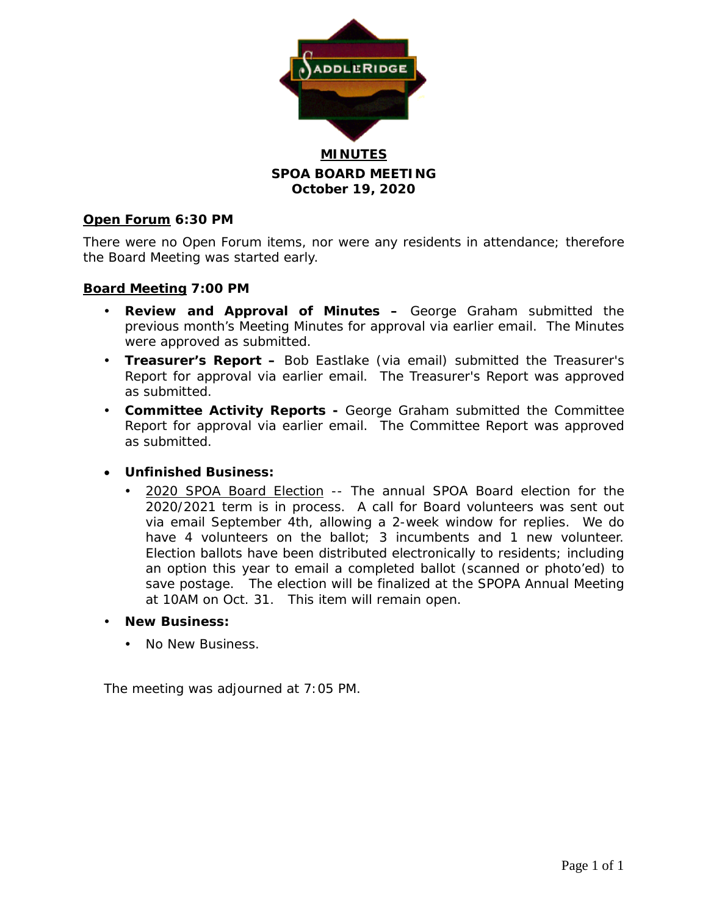

## **SPOA BOARD MEETING October 19, 2020**

### **Open Forum 6:30 PM**

There were no Open Forum items, nor were any residents in attendance; therefore the Board Meeting was started early.

### **Board Meeting 7:00 PM**

- **Review and Approval of Minutes –** George Graham submitted the previous month's Meeting Minutes for approval via earlier email. The Minutes were approved as submitted.
- **Treasurer's Report –** Bob Eastlake (via email) submitted the Treasurer's Report for approval via earlier email. The Treasurer's Report was approved as submitted.
- **Committee Activity Reports -** George Graham submitted the Committee Report for approval via earlier email. The Committee Report was approved as submitted.

#### • **Unfinished Business:**

- 2020 SPOA Board Election -- The annual SPOA Board election for the 2020/2021 term is in process. A call for Board volunteers was sent out via email September 4th, allowing a 2-week window for replies. We do have 4 volunteers on the ballot; 3 incumbents and 1 new volunteer. Election ballots have been distributed electronically to residents; including an option this year to email a completed ballot (scanned or photo'ed) to save postage. The election will be finalized at the SPOPA Annual Meeting at 10AM on Oct. 31. This item will remain open.
- **New Business:**
	- No New Business.

The meeting was adjourned at 7:05 PM.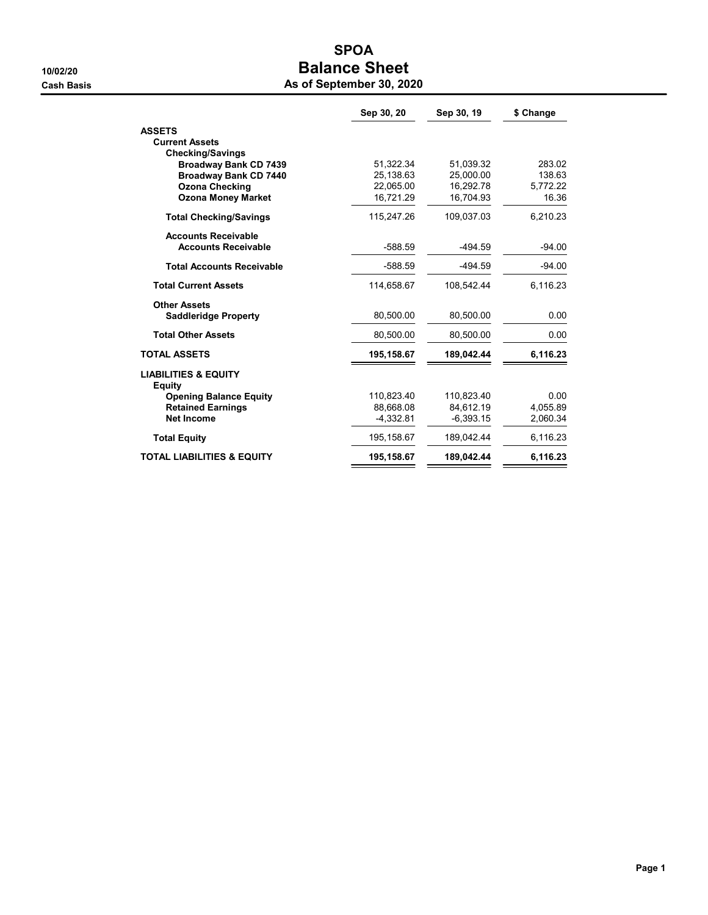## SPOA 10/02/20 **Balance Sheet**

|  | As of September 30, 2020 |  |
|--|--------------------------|--|
|--|--------------------------|--|

|                                                  | Sep 30, 20  | Sep 30, 19  | \$ Change |
|--------------------------------------------------|-------------|-------------|-----------|
| <b>ASSETS</b>                                    |             |             |           |
| <b>Current Assets</b>                            |             |             |           |
| <b>Checking/Savings</b>                          |             |             |           |
| <b>Broadway Bank CD 7439</b>                     | 51.322.34   | 51.039.32   | 283.02    |
| <b>Broadway Bank CD 7440</b>                     | 25,138.63   | 25.000.00   | 138.63    |
| <b>Ozona Checking</b>                            | 22,065.00   | 16.292.78   | 5,772.22  |
| <b>Ozona Money Market</b>                        | 16,721.29   | 16,704.93   | 16.36     |
| <b>Total Checking/Savings</b>                    | 115.247.26  | 109.037.03  | 6,210.23  |
| <b>Accounts Receivable</b>                       |             |             |           |
| <b>Accounts Receivable</b>                       | $-588.59$   | $-494.59$   | $-94.00$  |
| <b>Total Accounts Receivable</b>                 | $-588.59$   | $-494.59$   | -94.00    |
| <b>Total Current Assets</b>                      | 114,658.67  | 108.542.44  | 6,116.23  |
| <b>Other Assets</b>                              |             |             |           |
| <b>Saddleridge Property</b>                      | 80,500.00   | 80,500.00   | 0.00      |
| <b>Total Other Assets</b>                        | 80,500.00   | 80,500.00   | 0.00      |
| <b>TOTAL ASSETS</b>                              | 195,158.67  | 189,042.44  | 6,116.23  |
| <b>LIABILITIES &amp; EQUITY</b><br><b>Equity</b> |             |             |           |
| <b>Opening Balance Equity</b>                    | 110,823.40  | 110,823.40  | 0.00      |
| <b>Retained Earnings</b>                         | 88.668.08   | 84.612.19   | 4,055.89  |
| <b>Net Income</b>                                | $-4,332.81$ | $-6,393.15$ | 2,060.34  |
| <b>Total Equity</b>                              | 195,158.67  | 189,042.44  | 6,116.23  |
| <b>TOTAL LIABILITIES &amp; EQUITY</b>            | 195,158.67  | 189,042.44  | 6,116.23  |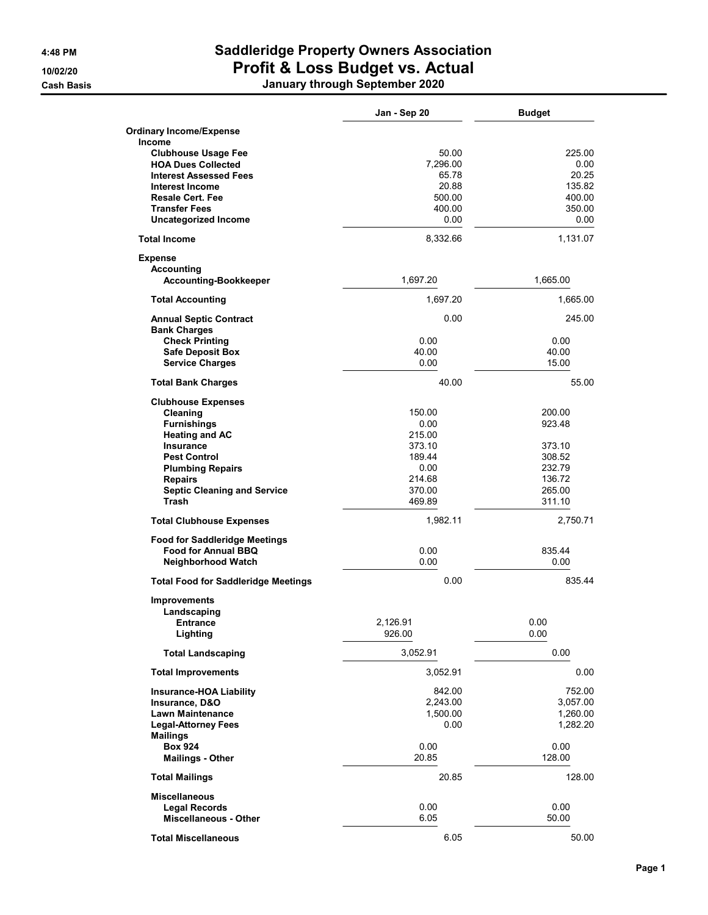# 4:48 PM Saddleridge Property Owners Association 10/02/20 Profit & Loss Budget vs. Actual

Cash Basis January through September 2020

|                                                      | Jan - Sep 20 | <b>Budget</b> |
|------------------------------------------------------|--------------|---------------|
| <b>Ordinary Income/Expense</b>                       |              |               |
| <b>Income</b>                                        |              |               |
| <b>Clubhouse Usage Fee</b>                           | 50.00        | 225.00        |
| <b>HOA Dues Collected</b>                            | 7,296.00     | 0.00          |
| <b>Interest Assessed Fees</b>                        | 65.78        | 20.25         |
| Interest Income                                      | 20.88        | 135.82        |
| <b>Resale Cert. Fee</b>                              | 500.00       | 400.00        |
| <b>Transfer Fees</b>                                 | 400.00       | 350.00        |
| <b>Uncategorized Income</b>                          | 0.00         | 0.00          |
| <b>Total Income</b>                                  | 8,332.66     | 1,131.07      |
| <b>Expense</b>                                       |              |               |
| Accounting                                           |              |               |
| Accounting-Bookkeeper                                | 1,697.20     | 1,665.00      |
| <b>Total Accounting</b>                              | 1,697.20     | 1,665.00      |
| <b>Annual Septic Contract</b><br><b>Bank Charges</b> | 0.00         | 245.00        |
| <b>Check Printing</b>                                | 0.00         | 0.00          |
| <b>Safe Deposit Box</b>                              | 40.00        | 40.00         |
| <b>Service Charges</b>                               | 0.00         | 15.00         |
| <b>Total Bank Charges</b>                            | 40.00        | 55.00         |
| <b>Clubhouse Expenses</b>                            |              |               |
| Cleaning                                             | 150.00       | 200.00        |
| <b>Furnishings</b>                                   | 0.00         | 923.48        |
| <b>Heating and AC</b>                                | 215.00       |               |
| <b>Insurance</b>                                     | 373.10       | 373.10        |
| <b>Pest Control</b>                                  | 189.44       | 308.52        |
| <b>Plumbing Repairs</b>                              | 0.00         | 232.79        |
| <b>Repairs</b>                                       | 214.68       | 136.72        |
| <b>Septic Cleaning and Service</b>                   | 370.00       | 265.00        |
| <b>Trash</b>                                         | 469.89       | 311.10        |
| <b>Total Clubhouse Expenses</b>                      | 1,982.11     | 2,750.71      |
| <b>Food for Saddleridge Meetings</b>                 |              |               |
| Food for Annual BBQ                                  | 0.00         | 835.44        |
| <b>Neighborhood Watch</b>                            | 0.00         | 0.00          |
| <b>Total Food for Saddleridge Meetings</b>           | 0.00         | 835.44        |
| <b>Improvements</b>                                  |              |               |
| Landscaping                                          |              |               |
| Entrance                                             | 2,126.91     | 0.00          |
| Lighting                                             | 926.00       | 0.00          |
| <b>Total Landscaping</b>                             | 3,052.91     | 0.00          |
| <b>Total Improvements</b>                            | 3,052.91     | 0.00          |
| <b>Insurance-HOA Liability</b>                       | 842.00       | 752.00        |
| Insurance, D&O                                       | 2,243.00     | 3,057.00      |
| <b>Lawn Maintenance</b>                              | 1,500.00     | 1,260.00      |
| <b>Legal-Attorney Fees</b>                           | 0.00         | 1,282.20      |
| <b>Mailings</b>                                      |              |               |
| <b>Box 924</b>                                       | 0.00         | 0.00          |
| <b>Mailings - Other</b>                              | 20.85        | 128.00        |
| <b>Total Mailings</b>                                | 20.85        | 128.00        |
| <b>Miscellaneous</b>                                 |              |               |
| <b>Legal Records</b>                                 | 0.00         | 0.00          |
| <b>Miscellaneous - Other</b>                         | 6.05         | 50.00         |
|                                                      |              |               |
| <b>Total Miscellaneous</b>                           | 6.05         | 50.00         |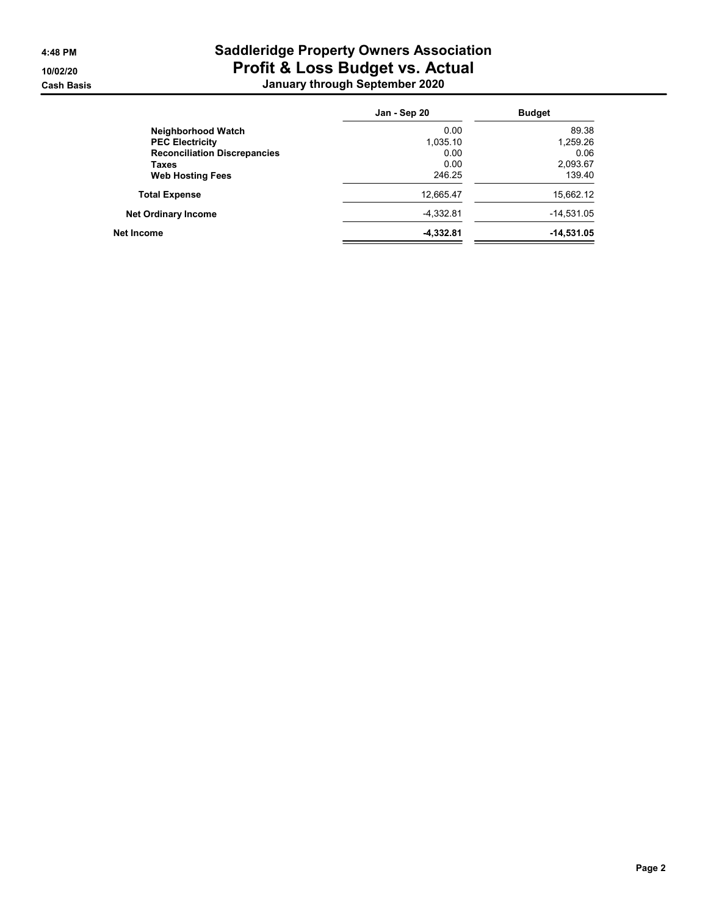## 4:48 PM Saddleridge Property Owners Association 10/02/20 Profit & Loss Budget vs. Actual Cash Basis January through September 2020

|                                     | Jan - Sep 20 | <b>Budget</b> |
|-------------------------------------|--------------|---------------|
| Neighborhood Watch                  | 0.00         | 89.38         |
| <b>PEC Electricity</b>              | 1,035.10     | 1,259.26      |
| <b>Reconciliation Discrepancies</b> | 0.00         | 0.06          |
| Taxes                               | 0.00         | 2,093.67      |
| <b>Web Hosting Fees</b>             | 246.25       | 139.40        |
| <b>Total Expense</b>                | 12,665.47    | 15,662.12     |
| <b>Net Ordinary Income</b>          | $-4.332.81$  | $-14,531.05$  |
| Net Income                          | $-4,332.81$  | $-14,531.05$  |